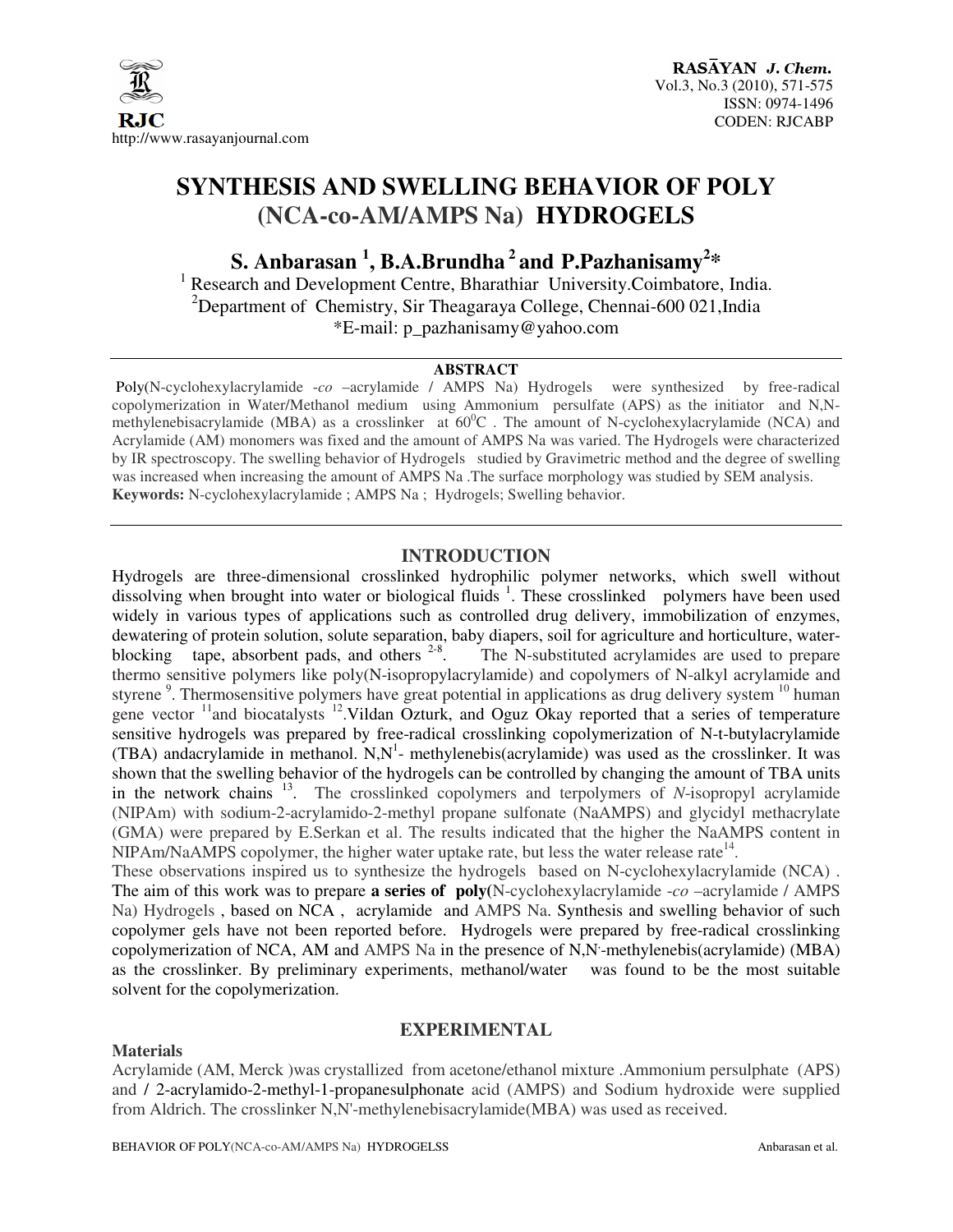

# **SYNTHESIS AND SWELLING BEHAVIOR OF POLY (NCA-co-AM/AMPS Na) HYDROGELS**

 $\mathbf{S}.$  Anbarasan <sup>1</sup>, B.A.Brundha<sup>2</sup> and P.Pazhanisamy<sup>2</sup>\*

<sup>1</sup> Research and Development Centre, Bharathiar University.Coimbatore, India. <sup>2</sup>Department of Chemistry, Sir Theagaraya College, Chennai-600 021, India \*E-mail: p\_pazhanisamy@yahoo.com

## **ABSTRACT**

 Poly(N-cyclohexylacrylamide -*co* –acrylamide / AMPS Na) Hydrogels were synthesized by free-radical copolymerization in Water/Methanol medium using Ammonium persulfate (APS) as the initiator and N,Nmethylenebisacrylamide (MBA) as a crosslinker at 60<sup>°</sup>C. The amount of N-cyclohexylacrylamide (NCA) and Acrylamide (AM) monomers was fixed and the amount of AMPS Na was varied. The Hydrogels were characterized by IR spectroscopy. The swelling behavior of Hydrogels studied by Gravimetric method and the degree of swelling was increased when increasing the amount of AMPS Na .The surface morphology was studied by SEM analysis. **Keywords:** N-cyclohexylacrylamide ; AMPS Na ; Hydrogels; Swelling behavior.

# **INTRODUCTION**

Hydrogels are three-dimensional crosslinked hydrophilic polymer networks, which swell without dissolving when brought into water or biological fluids <sup>1</sup>. These crosslinked polymers have been used widely in various types of applications such as controlled drug delivery, immobilization of enzymes, dewatering of protein solution, solute separation, baby diapers, soil for agriculture and horticulture, waterblocking tape, absorbent pads, and others  $2-8$ . . The N-substituted acrylamides are used to prepare thermo sensitive polymers like poly(N-isopropylacrylamide) and copolymers of N-alkyl acrylamide and styrene<sup>9</sup>. Thermosensitive polymers have great potential in applications as drug delivery system <sup>10</sup> human gene vector  $11$  and biocatalysts  $12$ . Vildan Ozturk, and Oguz Okay reported that a series of temperature sensitive hydrogels was prepared by free-radical crosslinking copolymerization of N-t-butylacrylamide (TBA) andacrylamide in methanol.  $N, N<sup>1</sup>$ - methylenebis(acrylamide) was used as the crosslinker. It was shown that the swelling behavior of the hydrogels can be controlled by changing the amount of TBA units in the network chains <sup>13</sup> . The crosslinked copolymers and terpolymers of *N*-isopropyl acrylamide (NIPAm) with sodium-2-acrylamido-2-methyl propane sulfonate (NaAMPS) and glycidyl methacrylate (GMA) were prepared by E.Serkan et al. The results indicated that the higher the NaAMPS content in NIPAm/NaAMPS copolymer, the higher water uptake rate, but less the water release rate<sup>14</sup>.

These observations inspired us to synthesize the hydrogels based on N-cyclohexylacrylamide (NCA) . The aim of this work was to prepare **a series of poly(**N-cyclohexylacrylamide -*co* –acrylamide / AMPS Na) Hydrogels , based on NCA , acrylamide and AMPS Na. Synthesis and swelling behavior of such copolymer gels have not been reported before. Hydrogels were prepared by free-radical crosslinking copolymerization of NCA, AM and AMPS Na in the presence of N,N -methylenebis(acrylamide) (MBA) as the crosslinker. By preliminary experiments, methanol/water was found to be the most suitable solvent for the copolymerization.

## **EXPERIMENTAL**

#### **Materials**

Acrylamide (AM, Merck )was crystallized from acetone/ethanol mixture .Ammonium persulphate (APS) and / 2-acrylamido-2-methyl-1-propanesulphonate acid (AMPS) and Sodium hydroxide were supplied from Aldrich. The crosslinker N,N'-methylenebisacrylamide(MBA) was used as received.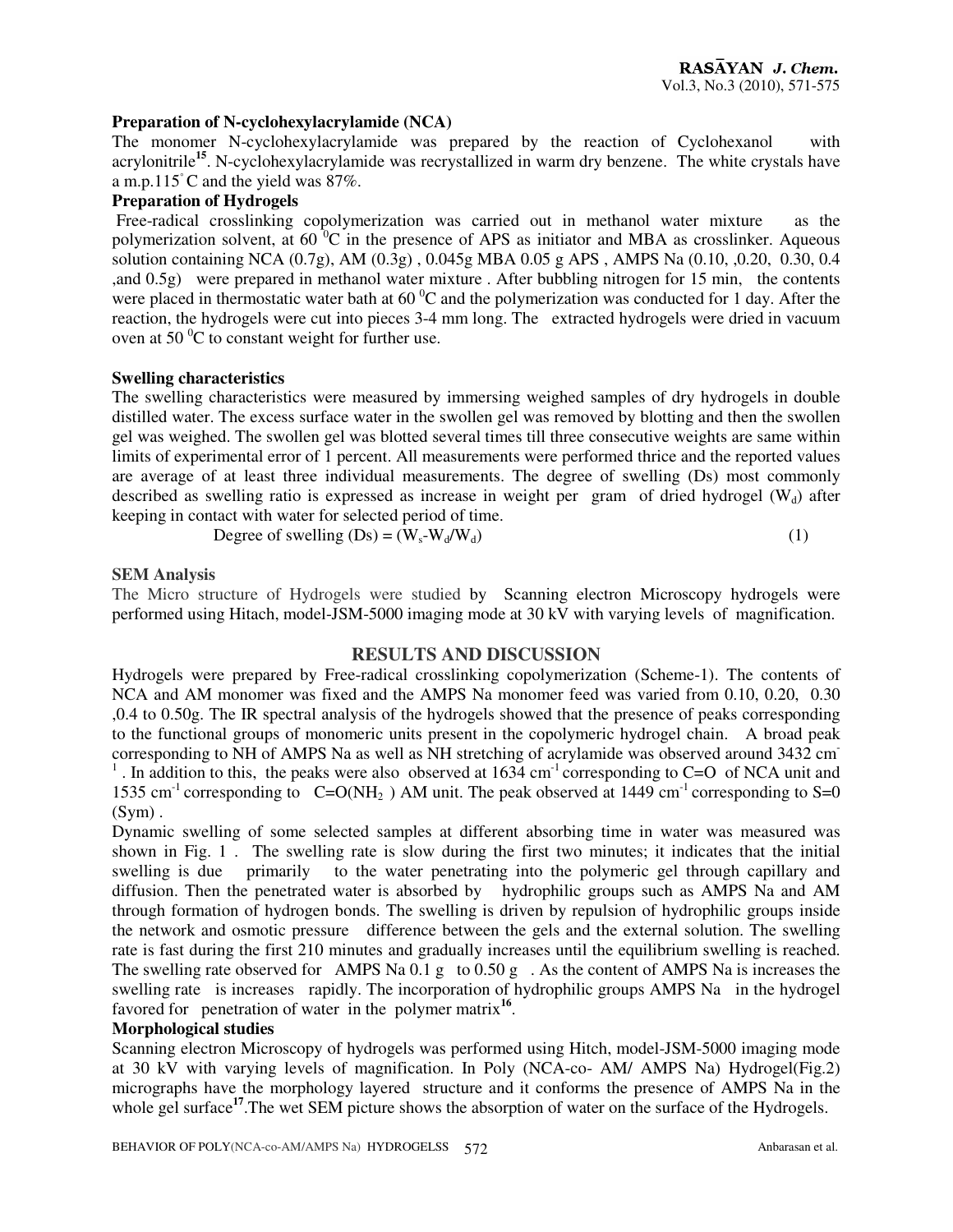#### **Preparation of N-cyclohexylacrylamide (NCA)**

The monomer N-cyclohexylacrylamide was prepared by the reaction of Cyclohexanol with acrylonitrile**<sup>15</sup>**. N-cyclohexylacrylamide was recrystallized in warm dry benzene. The white crystals have a m.p.115◦C and the yield was 87%.

# **Preparation of Hydrogels**

 Free-radical crosslinking copolymerization was carried out in methanol water mixture as the polymerization solvent, at  $60<sup>o</sup>C$  in the presence of APS as initiator and MBA as crosslinker. Aqueous solution containing NCA (0.7g), AM (0.3g) , 0.045g MBA 0.05 g APS , AMPS Na (0.10, ,0.20, 0.30, 0.4 ,and 0.5g) were prepared in methanol water mixture . After bubbling nitrogen for 15 min, the contents were placed in thermostatic water bath at  $60<sup>o</sup>C$  and the polymerization was conducted for 1 day. After the reaction, the hydrogels were cut into pieces 3-4 mm long. The extracted hydrogels were dried in vacuum oven at 50 $\mathrm{^{0}C}$  to constant weight for further use.

## **Swelling characteristics**

The swelling characteristics were measured by immersing weighed samples of dry hydrogels in double distilled water. The excess surface water in the swollen gel was removed by blotting and then the swollen gel was weighed. The swollen gel was blotted several times till three consecutive weights are same within limits of experimental error of 1 percent. All measurements were performed thrice and the reported values are average of at least three individual measurements. The degree of swelling (Ds) most commonly described as swelling ratio is expressed as increase in weight per gram of dried hydrogel  $(W<sub>d</sub>)$  after keeping in contact with water for selected period of time.

$$
Degree ofswelling (Ds) = (W_s-W_d/W_d)
$$
 (1)

## **SEM Analysis**

The Micro structure of Hydrogels were studied by Scanning electron Microscopy hydrogels were performed using Hitach, model-JSM-5000 imaging mode at 30 kV with varying levels of magnification.

#### **RESULTS AND DISCUSSION**

Hydrogels were prepared by Free-radical crosslinking copolymerization (Scheme-1). The contents of NCA and AM monomer was fixed and the AMPS Na monomer feed was varied from 0.10, 0.20, 0.30 ,0.4 to 0.50g. The IR spectral analysis of the hydrogels showed that the presence of peaks corresponding to the functional groups of monomeric units present in the copolymeric hydrogel chain. A broad peak corresponding to NH of AMPS Na as well as NH stretching of acrylamide was observed around 3432 cm-<sup>1</sup>. In addition to this, the peaks were also observed at  $1634 \text{ cm}^{-1}$  corresponding to C=O of NCA unit and 1535 cm<sup>-1</sup> corresponding to  $C=O(NH_2)$  AM unit. The peak observed at 1449 cm<sup>-1</sup> corresponding to S=0  $(Sym)$ .

Dynamic swelling of some selected samples at different absorbing time in water was measured was shown in Fig. 1 . The swelling rate is slow during the first two minutes; it indicates that the initial swelling is due primarily to the water penetrating into the polymeric gel through capillary and diffusion. Then the penetrated water is absorbed by hydrophilic groups such as AMPS Na and AM through formation of hydrogen bonds. The swelling is driven by repulsion of hydrophilic groups inside the network and osmotic pressure difference between the gels and the external solution. The swelling rate is fast during the first 210 minutes and gradually increases until the equilibrium swelling is reached. The swelling rate observed for AMPS Na 0.1 g to 0.50 g . As the content of AMPS Na is increases the swelling rate is increases rapidly. The incorporation of hydrophilic groups AMPS Na in the hydrogel favored for penetration of water in the polymer matrix<sup>16</sup>.

## **Morphological studies**

Scanning electron Microscopy of hydrogels was performed using Hitch, model-JSM-5000 imaging mode at 30 kV with varying levels of magnification. In Poly (NCA-co- AM/ AMPS Na) Hydrogel(Fig.2) micrographs have the morphology layered structure and it conforms the presence of AMPS Na in the whole gel surface<sup>17</sup>. The wet SEM picture shows the absorption of water on the surface of the Hydrogels.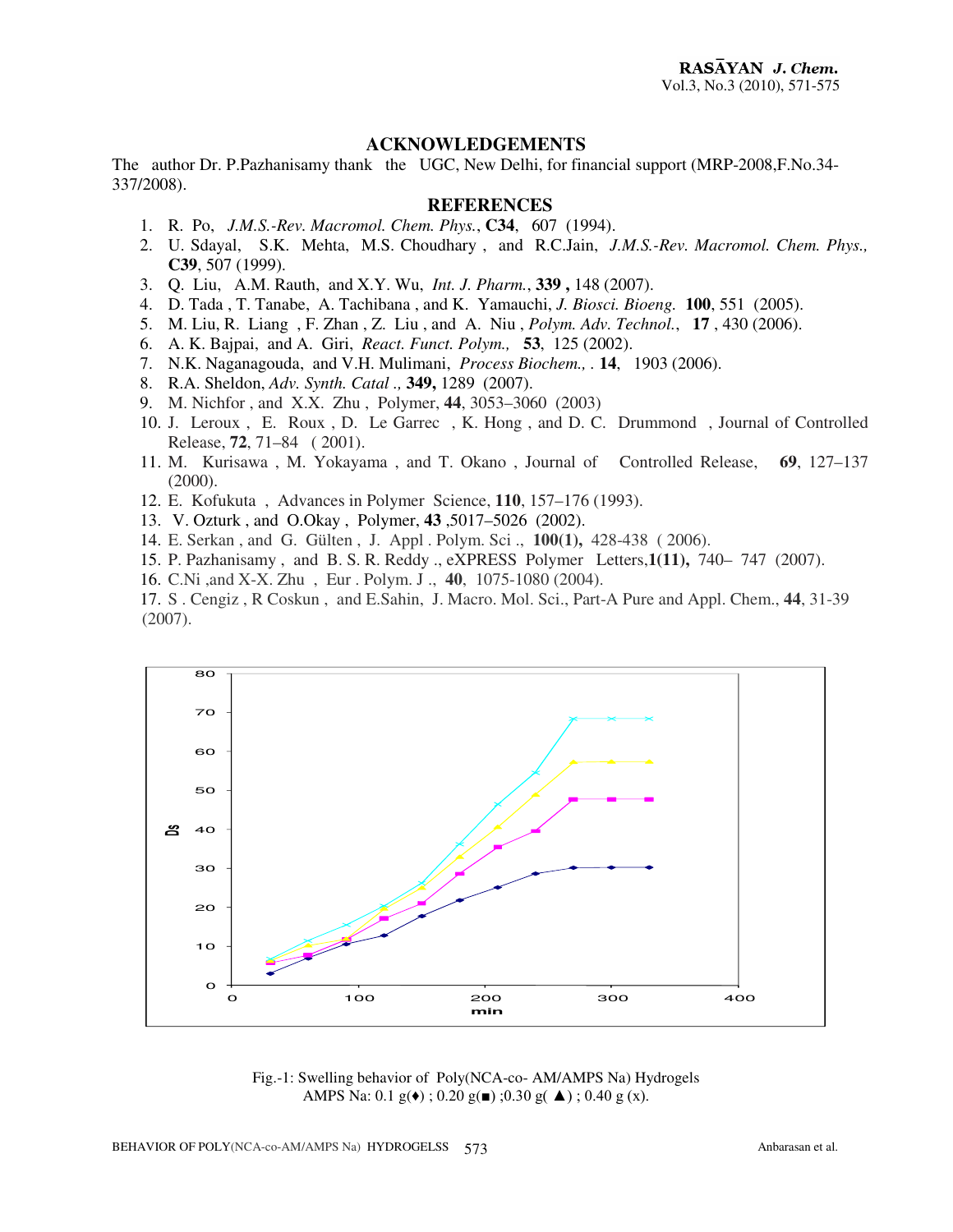## **ACKNOWLEDGEMENTS**

The author Dr. P.Pazhanisamy thank the UGC, New Delhi, for financial support (MRP-2008,F.No.34- 337/2008).

# **REFERENCES**

- 1. R. Po, *J.M.S.-Rev. Macromol. Chem. Phys.*, **C34**, 607 (1994).
- 2. U. Sdayal, S.K. Mehta, M.S. Choudhary , and R.C.Jain, *J.M.S.-Rev. Macromol. Chem. Phys.,*  **C39**, 507 (1999).
- 3. Q. Liu, A.M. Rauth, and X.Y. Wu, *Int. J. Pharm.*, **339 ,** 148 (2007).
- 4. D. Tada , T. Tanabe, A. Tachibana , and K. Yamauchi, *J. Biosci. Bioeng.* **100**, 551 (2005).
- 5. M. Liu, R. Liang , F. Zhan , Z. Liu , and A. Niu , *Polym. Adv. Technol.*, **17** , 430 (2006).
- 6. A. K. Bajpai, and A. Giri, *React. Funct. Polym.,* **53**, 125 (2002).
- 7. N.K. Naganagouda, and V.H. Mulimani, *Process Biochem., .* **14**, 1903 (2006).
- 8. R.A. Sheldon, *Adv. Synth. Catal .,* **349,** 1289 (2007).
- 9. M. Nichfor , and X.X. Zhu , Polymer, **44**, 3053–3060 (2003)
- 10. J. Leroux , E. Roux , D. Le Garrec , K. Hong , and D. C. Drummond , Journal of Controlled Release, **72**, 71–84 ( 2001).
- 11. M. Kurisawa , M. Yokayama , and T. Okano , Journal of Controlled Release, **69**, 127–137 (2000).
- 12. E. Kofukuta , Advances in Polymer Science, **110**, 157–176 (1993).
- 13. V. Ozturk , and O.Okay , Polymer, **43** ,5017–5026 (2002).
- 14. E. Serkan , and G. Gülten , J. Appl . Polym. Sci ., **100(1),** 428-438 ( 2006).
- 15. P. Pazhanisamy , and B. S. R. Reddy ., eXPRESS Polymer Letters,**1(11),** 740– 747 (2007).
- 16. C.Ni ,and X-X. Zhu , Eur . Polym. J ., **40**, 1075-1080 (2004).
- 17. S . Cengiz , R Coskun , and E.Sahin, J. Macro. Mol. Sci., Part-A Pure and Appl. Chem., **44**, 31-39 (2007).



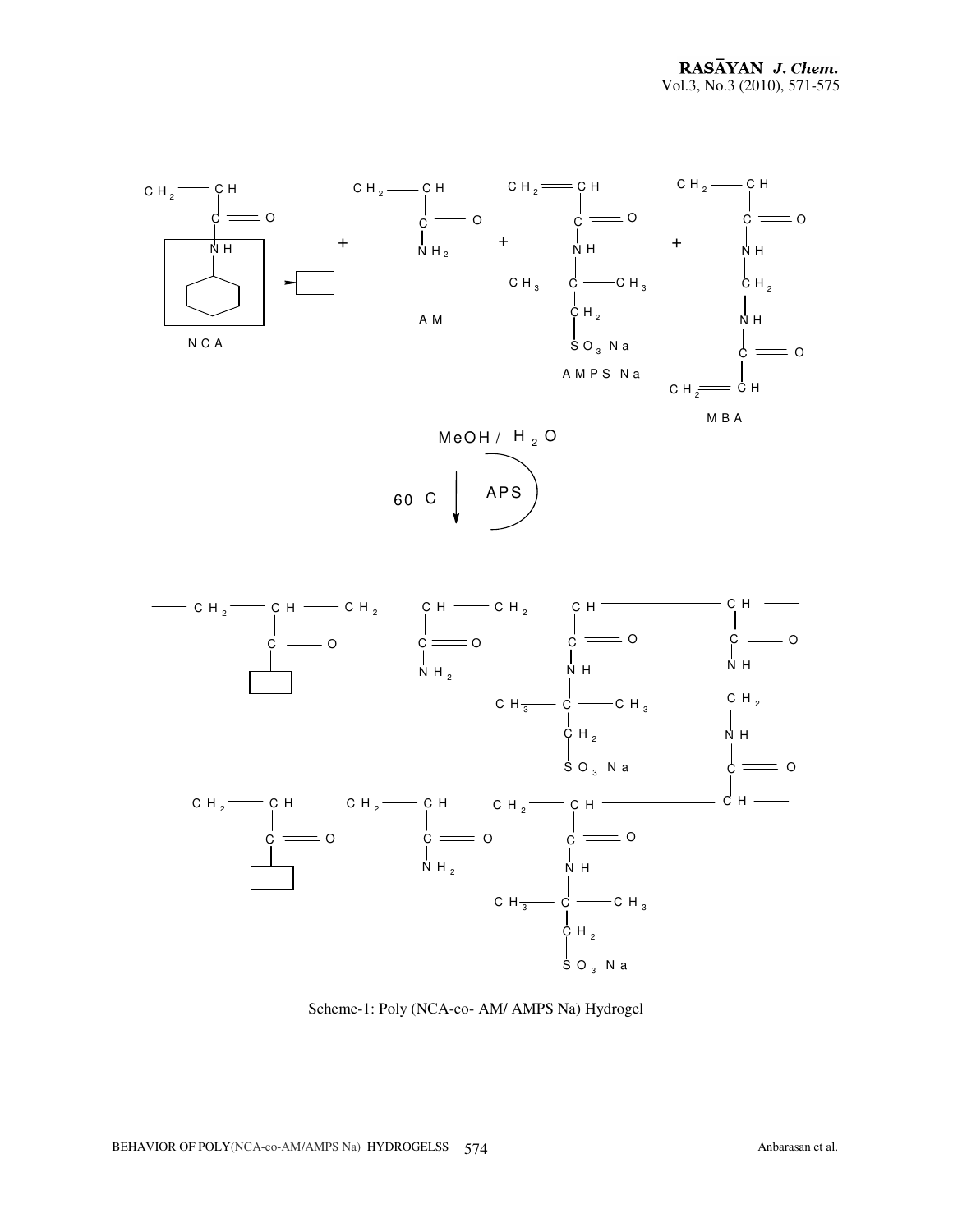





Scheme-1: Poly (NCA-co- AM/ AMPS Na) Hydrogel